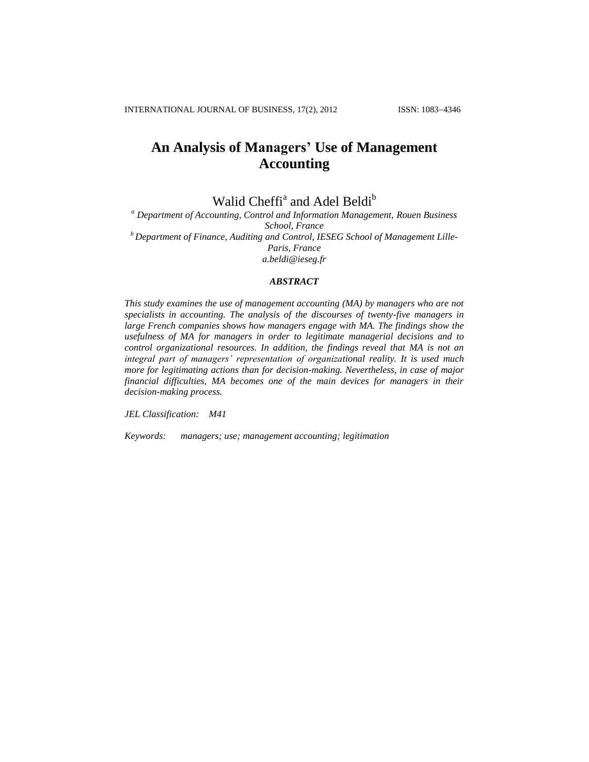# **An Analysis of Managers' Use of Management Accounting**

Walid Cheffi<sup>a</sup> and Adel Beldi<sup>b</sup>

*<sup>a</sup> Department of Accounting, Control and Information Management, Rouen Business School, France <sup>b</sup>Department of Finance, Auditing and Control, IESEG School of Management Lille-Paris, France a.beldi@ieseg.fr*

# *ABSTRACT*

*This study examines the use of management accounting (MA) by managers who are not specialists in accounting. The analysis of the discourses of twenty-five managers in large French companies shows how managers engage with MA. The findings show the usefulness of MA for managers in order to legitimate managerial decisions and to control organizational resources. In addition, the findings reveal that MA is not an integral part of managers' representation of organizational reality. It is used much more for legitimating actions than for decision-making. Nevertheless, in case of major financial difficulties, MA becomes one of the main devices for managers in their decision-making process.*

*JEL Classification: M41* 

*Keywords: managers; use; management accounting; legitimation*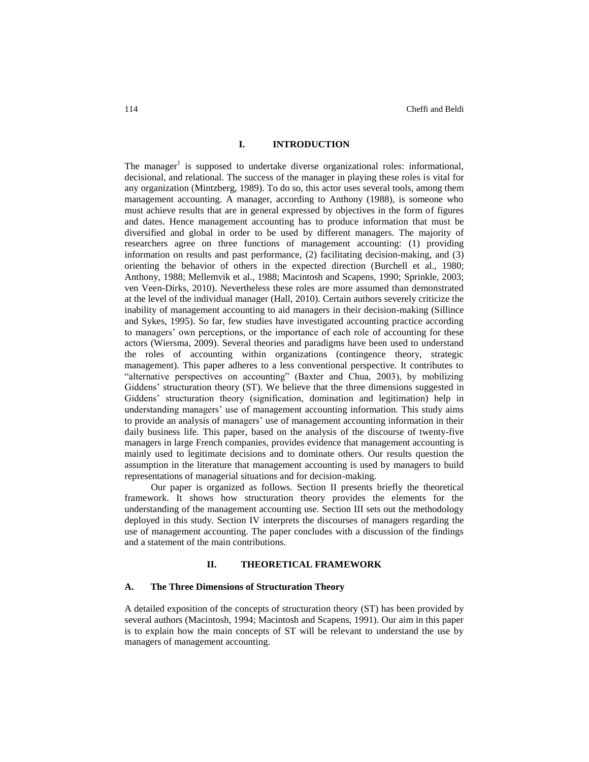## **I. INTRODUCTION**

The manager<sup>1</sup> is supposed to undertake diverse organizational roles: informational, decisional, and relational. The success of the manager in playing these roles is vital for any organization (Mintzberg, 1989). To do so, this actor uses several tools, among them management accounting. A manager, according to Anthony (1988), is someone who must achieve results that are in general expressed by objectives in the form of figures and dates. Hence management accounting has to produce information that must be diversified and global in order to be used by different managers. The majority of researchers agree on three functions of management accounting: (1) providing information on results and past performance, (2) facilitating decision-making, and (3) orienting the behavior of others in the expected direction (Burchell et al., 1980; Anthony, 1988; Mellemvik et al., 1988; Macintosh and Scapens, 1990; Sprinkle, 2003; ven Veen-Dirks, 2010). Nevertheless these roles are more assumed than demonstrated at the level of the individual manager (Hall, 2010). Certain authors severely criticize the inability of management accounting to aid managers in their decision-making (Sillince and Sykes, 1995). So far, few studies have investigated accounting practice according to managers' own perceptions, or the importance of each role of accounting for these actors (Wiersma, 2009). Several theories and paradigms have been used to understand the roles of accounting within organizations (contingence theory, strategic management). This paper adheres to a less conventional perspective. It contributes to "alternative perspectives on accounting" (Baxter and Chua, 2003), by mobilizing Giddens' structuration theory (ST). We believe that the three dimensions suggested in Giddens' structuration theory (signification, domination and legitimation) help in understanding managers' use of management accounting information. This study aims to provide an analysis of managers' use of management accounting information in their daily business life. This paper, based on the analysis of the discourse of twenty-five managers in large French companies, provides evidence that management accounting is mainly used to legitimate decisions and to dominate others. Our results question the assumption in the literature that management accounting is used by managers to build representations of managerial situations and for decision-making.

Our paper is organized as follows. Section II presents briefly the theoretical framework. It shows how structuration theory provides the elements for the understanding of the management accounting use. Section III sets out the methodology deployed in this study. Section IV interprets the discourses of managers regarding the use of management accounting. The paper concludes with a discussion of the findings and a statement of the main contributions.

### **II. THEORETICAL FRAMEWORK**

#### **A. The Three Dimensions of Structuration Theory**

A detailed exposition of the concepts of structuration theory (ST) has been provided by several authors (Macintosh, 1994; Macintosh and Scapens, 1991). Our aim in this paper is to explain how the main concepts of ST will be relevant to understand the use by managers of management accounting.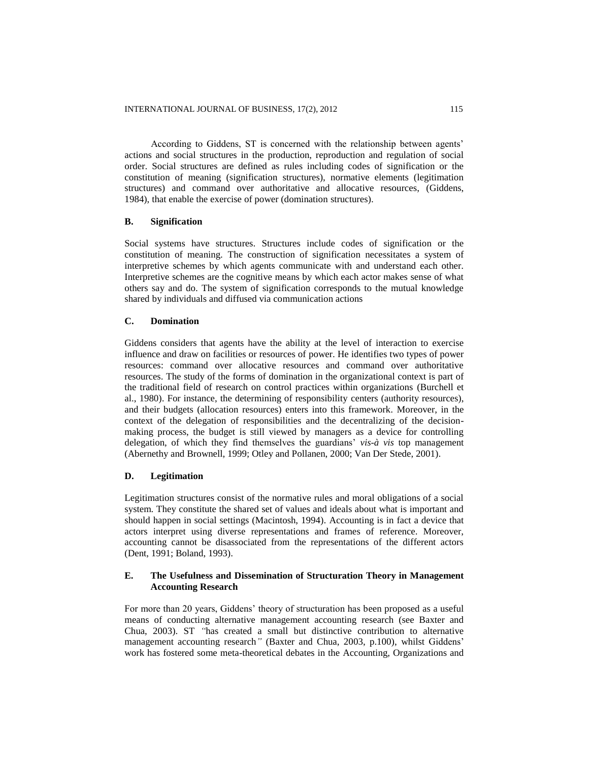According to Giddens, ST is concerned with the relationship between agents' actions and social structures in the production, reproduction and regulation of social order. Social structures are defined as rules including codes of signification or the constitution of meaning (signification structures), normative elements (legitimation structures) and command over authoritative and allocative resources, (Giddens, 1984), that enable the exercise of power (domination structures).

# **B. Signification**

Social systems have structures. Structures include codes of signification or the constitution of meaning. The construction of signification necessitates a system of interpretive schemes by which agents communicate with and understand each other. Interpretive schemes are the cognitive means by which each actor makes sense of what others say and do. The system of signification corresponds to the mutual knowledge shared by individuals and diffused via communication actions

### **C. Domination**

Giddens considers that agents have the ability at the level of interaction to exercise influence and draw on facilities or resources of power. He identifies two types of power resources: command over allocative resources and command over authoritative resources. The study of the forms of domination in the organizational context is part of the traditional field of research on control practices within organizations (Burchell et al., 1980). For instance, the determining of responsibility centers (authority resources), and their budgets (allocation resources) enters into this framework. Moreover, in the context of the delegation of responsibilities and the decentralizing of the decisionmaking process, the budget is still viewed by managers as a device for controlling delegation, of which they find themselves the guardians' *vis-à vis* top management (Abernethy and Brownell, 1999; Otley and Pollanen, 2000; Van Der Stede, 2001).

# **D. Legitimation**

Legitimation structures consist of the normative rules and moral obligations of a social system. They constitute the shared set of values and ideals about what is important and should happen in social settings (Macintosh, 1994). Accounting is in fact a device that actors interpret using diverse representations and frames of reference. Moreover, accounting cannot be disassociated from the representations of the different actors (Dent, 1991; Boland, 1993).

# **E. The Usefulness and Dissemination of Structuration Theory in Management Accounting Research**

For more than 20 years, Giddens' theory of structuration has been proposed as a useful means of conducting alternative management accounting research (see Baxter and Chua, 2003). ST *"*has created a small but distinctive contribution to alternative management accounting research*"* (Baxter and Chua, 2003, p.100), whilst Giddens' work has fostered some meta-theoretical debates in the Accounting, Organizations and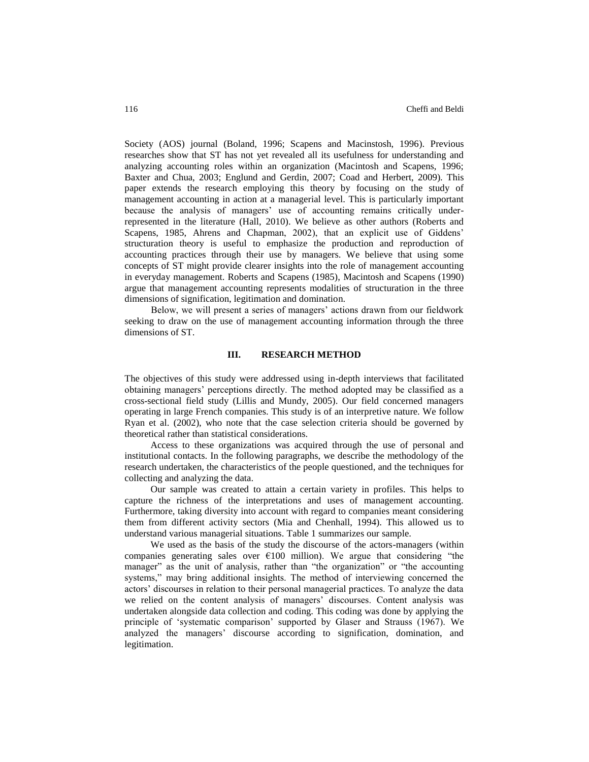Society (AOS) journal (Boland, 1996; Scapens and Macinstosh, 1996). Previous researches show that ST has not yet revealed all its usefulness for understanding and analyzing accounting roles within an organization (Macintosh and Scapens, 1996; Baxter and Chua, 2003; Englund and Gerdin, 2007; Coad and Herbert, 2009). This paper extends the research employing this theory by focusing on the study of management accounting in action at a managerial level. This is particularly important because the analysis of managers' use of accounting remains critically underrepresented in the literature (Hall, 2010). We believe as other authors (Roberts and Scapens, 1985, Ahrens and Chapman, 2002), that an explicit use of Giddens' structuration theory is useful to emphasize the production and reproduction of accounting practices through their use by managers. We believe that using some concepts of ST might provide clearer insights into the role of management accounting in everyday management. Roberts and Scapens (1985), Macintosh and Scapens (1990) argue that management accounting represents modalities of structuration in the three dimensions of signification, legitimation and domination.

Below, we will present a series of managers' actions drawn from our fieldwork seeking to draw on the use of management accounting information through the three dimensions of ST.

# **III. RESEARCH METHOD**

The objectives of this study were addressed using in-depth interviews that facilitated obtaining managers' perceptions directly. The method adopted may be classified as a cross-sectional field study (Lillis and Mundy, 2005). Our field concerned managers operating in large French companies. This study is of an interpretive nature. We follow Ryan et al. (2002), who note that the case selection criteria should be governed by theoretical rather than statistical considerations.

Access to these organizations was acquired through the use of personal and institutional contacts. In the following paragraphs, we describe the methodology of the research undertaken, the characteristics of the people questioned, and the techniques for collecting and analyzing the data.

Our sample was created to attain a certain variety in profiles. This helps to capture the richness of the interpretations and uses of management accounting. Furthermore, taking diversity into account with regard to companies meant considering them from different activity sectors (Mia and Chenhall, 1994). This allowed us to understand various managerial situations. Table 1 summarizes our sample.

We used as the basis of the study the discourse of the actors-managers (within companies generating sales over  $E100$  million). We argue that considering "the manager" as the unit of analysis, rather than "the organization" or "the accounting systems," may bring additional insights. The method of interviewing concerned the actors' discourses in relation to their personal managerial practices. To analyze the data we relied on the content analysis of managers' discourses. Content analysis was undertaken alongside data collection and coding. This coding was done by applying the principle of 'systematic comparison' supported by Glaser and Strauss (1967). We analyzed the managers' discourse according to signification, domination, and legitimation.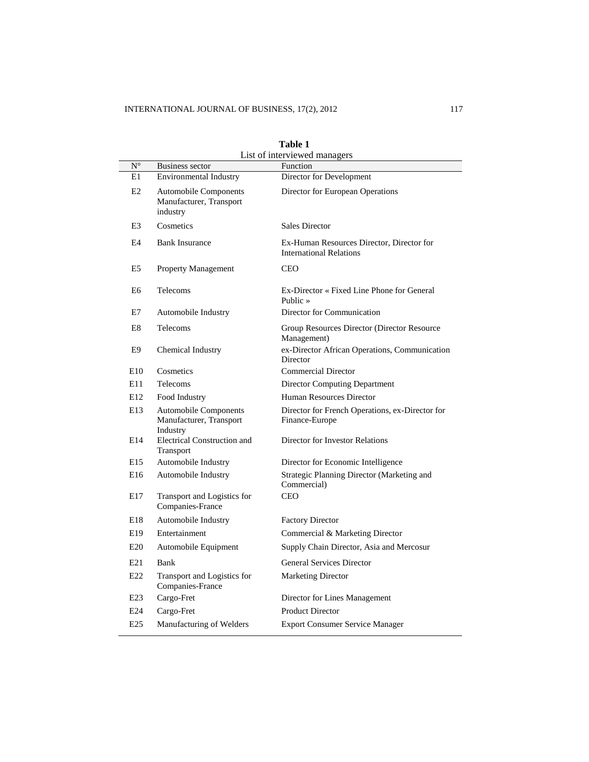| Table 1                      |                                                                     |                                                                             |  |  |  |  |
|------------------------------|---------------------------------------------------------------------|-----------------------------------------------------------------------------|--|--|--|--|
| List of interviewed managers |                                                                     |                                                                             |  |  |  |  |
| $N^{\circ}$<br>E1            | <b>Business sector</b><br><b>Environmental Industry</b>             | Function<br>Director for Development                                        |  |  |  |  |
|                              |                                                                     |                                                                             |  |  |  |  |
| E2                           | Automobile Components<br>Manufacturer, Transport<br>industry        | Director for European Operations                                            |  |  |  |  |
| E3                           | Cosmetics                                                           | <b>Sales Director</b>                                                       |  |  |  |  |
| E4                           | <b>Bank Insurance</b>                                               | Ex-Human Resources Director, Director for<br><b>International Relations</b> |  |  |  |  |
| E5                           | <b>Property Management</b>                                          | <b>CEO</b>                                                                  |  |  |  |  |
| E6                           | Telecoms                                                            | Ex-Director « Fixed Line Phone for General<br>Public $\ast$                 |  |  |  |  |
| E7                           | Automobile Industry                                                 | Director for Communication                                                  |  |  |  |  |
| E8                           | Telecoms                                                            | Group Resources Director (Director Resource)<br>Management)                 |  |  |  |  |
| E9                           | Chemical Industry                                                   | ex-Director African Operations, Communication<br>Director                   |  |  |  |  |
| E <sub>10</sub>              | Cosmetics                                                           | Commercial Director                                                         |  |  |  |  |
| E11                          | Telecoms                                                            | <b>Director Computing Department</b>                                        |  |  |  |  |
| E12                          | Food Industry                                                       | Human Resources Director                                                    |  |  |  |  |
| E13                          | <b>Automobile Components</b><br>Manufacturer, Transport<br>Industry | Director for French Operations, ex-Director for<br>Finance-Europe           |  |  |  |  |
| E14                          | <b>Electrical Construction and</b><br>Transport                     | Director for Investor Relations                                             |  |  |  |  |
| E <sub>15</sub>              | Automobile Industry                                                 | Director for Economic Intelligence                                          |  |  |  |  |
| E <sub>16</sub>              | Automobile Industry                                                 | Strategic Planning Director (Marketing and<br>Commercial)                   |  |  |  |  |
| E17                          | Transport and Logistics for<br>Companies-France                     | <b>CEO</b>                                                                  |  |  |  |  |
| E18                          | Automobile Industry                                                 | <b>Factory Director</b>                                                     |  |  |  |  |
| E <sub>19</sub>              | Entertainment                                                       | Commercial & Marketing Director                                             |  |  |  |  |
| E20                          | Automobile Equipment                                                | Supply Chain Director, Asia and Mercosur                                    |  |  |  |  |
| E21                          | Bank                                                                | <b>General Services Director</b>                                            |  |  |  |  |
| E22                          | Transport and Logistics for<br>Companies-France                     | <b>Marketing Director</b>                                                   |  |  |  |  |
| E23                          | Cargo-Fret                                                          | Director for Lines Management                                               |  |  |  |  |
| E24                          | Cargo-Fret                                                          | <b>Product Director</b>                                                     |  |  |  |  |
| E25                          | Manufacturing of Welders                                            | <b>Export Consumer Service Manager</b>                                      |  |  |  |  |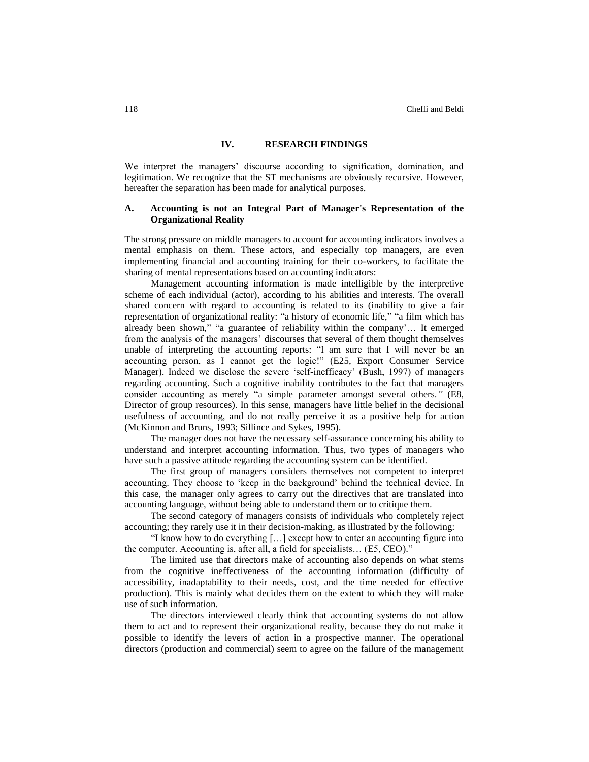## **IV. RESEARCH FINDINGS**

We interpret the managers' discourse according to signification, domination, and legitimation. We recognize that the ST mechanisms are obviously recursive. However, hereafter the separation has been made for analytical purposes.

# **A. Accounting is not an Integral Part of Manager's Representation of the Organizational Reality**

The strong pressure on middle managers to account for accounting indicators involves a mental emphasis on them. These actors, and especially top managers, are even implementing financial and accounting training for their co-workers, to facilitate the sharing of mental representations based on accounting indicators:

Management accounting information is made intelligible by the interpretive scheme of each individual (actor), according to his abilities and interests. The overall shared concern with regard to accounting is related to its (inability to give a fair representation of organizational reality: "a history of economic life," "a film which has already been shown," "a guarantee of reliability within the company'… It emerged from the analysis of the managers' discourses that several of them thought themselves unable of interpreting the accounting reports: "I am sure that I will never be an accounting person, as I cannot get the logic!" (E25, Export Consumer Service Manager). Indeed we disclose the severe 'self-inefficacy' (Bush, 1997) of managers regarding accounting. Such a cognitive inability contributes to the fact that managers consider accounting as merely "a simple parameter amongst several others.*"* (E8, Director of group resources). In this sense, managers have little belief in the decisional usefulness of accounting, and do not really perceive it as a positive help for action (McKinnon and Bruns, 1993; Sillince and Sykes, 1995).

The manager does not have the necessary self-assurance concerning his ability to understand and interpret accounting information. Thus, two types of managers who have such a passive attitude regarding the accounting system can be identified.

The first group of managers considers themselves not competent to interpret accounting. They choose to 'keep in the background' behind the technical device. In this case, the manager only agrees to carry out the directives that are translated into accounting language, without being able to understand them or to critique them.

The second category of managers consists of individuals who completely reject accounting; they rarely use it in their decision-making, as illustrated by the following:

"I know how to do everything […] except how to enter an accounting figure into the computer. Accounting is, after all, a field for specialists… (E5, CEO)."

The limited use that directors make of accounting also depends on what stems from the cognitive ineffectiveness of the accounting information (difficulty of accessibility, inadaptability to their needs, cost, and the time needed for effective production). This is mainly what decides them on the extent to which they will make use of such information.

The directors interviewed clearly think that accounting systems do not allow them to act and to represent their organizational reality, because they do not make it possible to identify the levers of action in a prospective manner. The operational directors (production and commercial) seem to agree on the failure of the management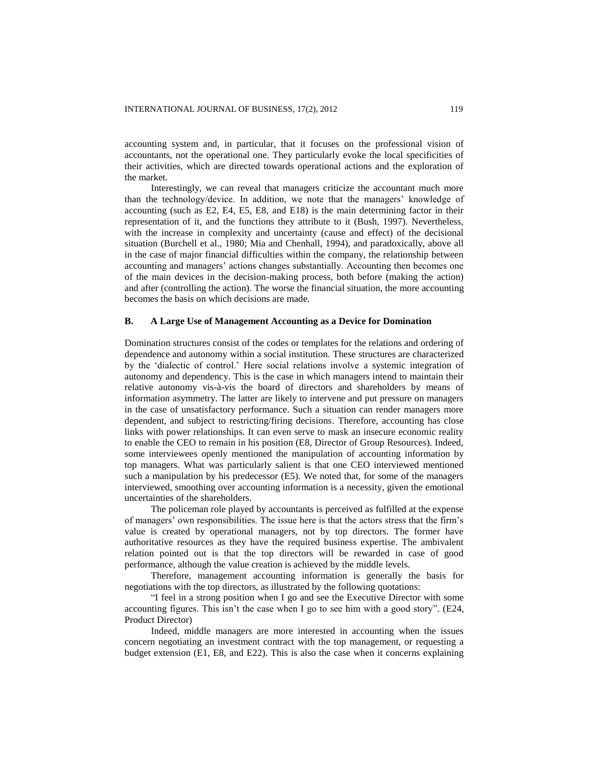accounting system and, in particular, that it focuses on the professional vision of accountants, not the operational one. They particularly evoke the local specificities of their activities, which are directed towards operational actions and the exploration of the market.

Interestingly, we can reveal that managers criticize the accountant much more than the technology/device. In addition, we note that the managers' knowledge of accounting (such as E2, E4, E5, E8, and E18) is the main determining factor in their representation of it, and the functions they attribute to it (Bush, 1997). Nevertheless, with the increase in complexity and uncertainty (cause and effect) of the decisional situation (Burchell et al., 1980; Mia and Chenhall, 1994), and paradoxically, above all in the case of major financial difficulties within the company, the relationship between accounting and managers' actions changes substantially. Accounting then becomes one of the main devices in the decision-making process, both before (making the action) and after (controlling the action). The worse the financial situation, the more accounting becomes the basis on which decisions are made.

### **B. A Large Use of Management Accounting as a Device for Domination**

Domination structures consist of the codes or templates for the relations and ordering of dependence and autonomy within a social institution. These structures are characterized by the 'dialectic of control.' Here social relations involve a systemic integration of autonomy and dependency. This is the case in which managers intend to maintain their relative autonomy vis-à-vis the board of directors and shareholders by means of information asymmetry. The latter are likely to intervene and put pressure on managers in the case of unsatisfactory performance. Such a situation can render managers more dependent, and subject to restricting/firing decisions. Therefore, accounting has close links with power relationships. It can even serve to mask an insecure economic reality to enable the CEO to remain in his position (E8, Director of Group Resources). Indeed, some interviewees openly mentioned the manipulation of accounting information by top managers. What was particularly salient is that one CEO interviewed mentioned such a manipulation by his predecessor (E5). We noted that, for some of the managers interviewed, smoothing over accounting information is a necessity, given the emotional uncertainties of the shareholders.

The policeman role played by accountants is perceived as fulfilled at the expense of managers' own responsibilities. The issue here is that the actors stress that the firm's value is created by operational managers, not by top directors. The former have authoritative resources as they have the required business expertise. The ambivalent relation pointed out is that the top directors will be rewarded in case of good performance, although the value creation is achieved by the middle levels.

Therefore, management accounting information is generally the basis for negotiations with the top directors, as illustrated by the following quotations:

"I feel in a strong position when I go and see the Executive Director with some accounting figures. This isn't the case when I go to see him with a good story". (E24, Product Director)

Indeed, middle managers are more interested in accounting when the issues concern negotiating an investment contract with the top management, or requesting a budget extension (E1, E8, and E22). This is also the case when it concerns explaining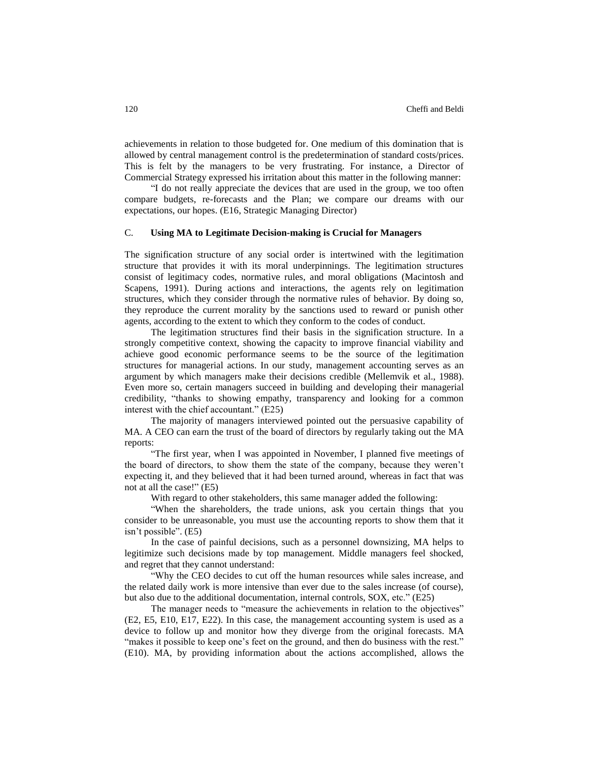achievements in relation to those budgeted for. One medium of this domination that is allowed by central management control is the predetermination of standard costs/prices. This is felt by the managers to be very frustrating. For instance, a Director of Commercial Strategy expressed his irritation about this matter in the following manner:

"I do not really appreciate the devices that are used in the group, we too often compare budgets, re-forecasts and the Plan; we compare our dreams with our expectations, our hopes. (E16, Strategic Managing Director)

# C. **Using MA to Legitimate Decision-making is Crucial for Managers**

The signification structure of any social order is intertwined with the legitimation structure that provides it with its moral underpinnings. The legitimation structures consist of legitimacy codes, normative rules, and moral obligations (Macintosh and Scapens, 1991). During actions and interactions, the agents rely on legitimation structures, which they consider through the normative rules of behavior. By doing so, they reproduce the current morality by the sanctions used to reward or punish other agents, according to the extent to which they conform to the codes of conduct.

The legitimation structures find their basis in the signification structure. In a strongly competitive context, showing the capacity to improve financial viability and achieve good economic performance seems to be the source of the legitimation structures for managerial actions. In our study, management accounting serves as an argument by which managers make their decisions credible (Mellemvik et al., 1988). Even more so, certain managers succeed in building and developing their managerial credibility, "thanks to showing empathy, transparency and looking for a common interest with the chief accountant." (E25)

The majority of managers interviewed pointed out the persuasive capability of MA. A CEO can earn the trust of the board of directors by regularly taking out the MA reports:

"The first year, when I was appointed in November, I planned five meetings of the board of directors, to show them the state of the company, because they weren't expecting it, and they believed that it had been turned around, whereas in fact that was not at all the case!" (E5)

With regard to other stakeholders, this same manager added the following:

"When the shareholders, the trade unions, ask you certain things that you consider to be unreasonable, you must use the accounting reports to show them that it isn't possible". (E5)

In the case of painful decisions, such as a personnel downsizing, MA helps to legitimize such decisions made by top management. Middle managers feel shocked, and regret that they cannot understand:

"Why the CEO decides to cut off the human resources while sales increase, and the related daily work is more intensive than ever due to the sales increase (of course), but also due to the additional documentation, internal controls, SOX, etc." (E25)

The manager needs to "measure the achievements in relation to the objectives" (E2, E5, E10, E17, E22). In this case, the management accounting system is used as a device to follow up and monitor how they diverge from the original forecasts. MA "makes it possible to keep one's feet on the ground, and then do business with the rest." (E10). MA, by providing information about the actions accomplished, allows the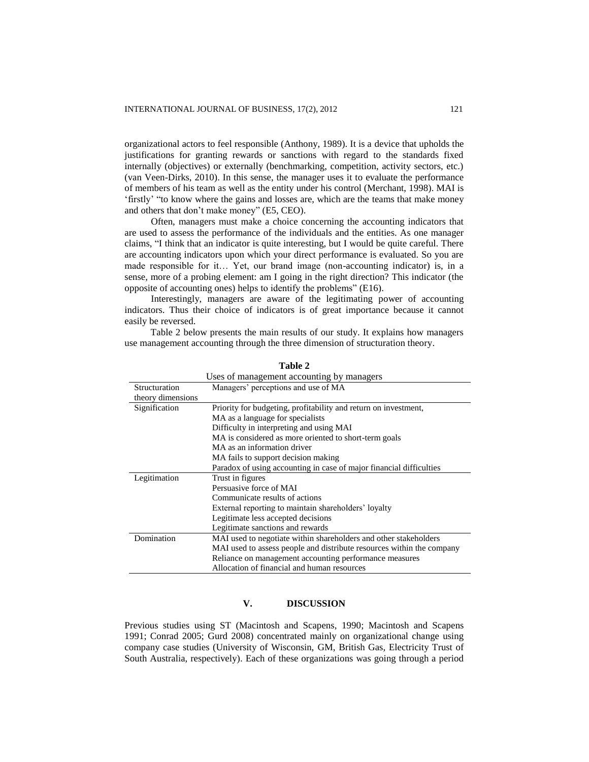organizational actors to feel responsible (Anthony, 1989). It is a device that upholds the justifications for granting rewards or sanctions with regard to the standards fixed internally (objectives) or externally (benchmarking, competition, activity sectors, etc.) (van Veen-Dirks, 2010). In this sense, the manager uses it to evaluate the performance of members of his team as well as the entity under his control (Merchant, 1998). MAI is 'firstly' "to know where the gains and losses are, which are the teams that make money and others that don't make money" (E5, CEO).

Often, managers must make a choice concerning the accounting indicators that are used to assess the performance of the individuals and the entities. As one manager claims, "I think that an indicator is quite interesting, but I would be quite careful. There are accounting indicators upon which your direct performance is evaluated. So you are made responsible for it… Yet, our brand image (non-accounting indicator) is, in a sense, more of a probing element: am I going in the right direction? This indicator (the opposite of accounting ones) helps to identify the problems" (E16).

Interestingly, managers are aware of the legitimating power of accounting indicators. Thus their choice of indicators is of great importance because it cannot easily be reversed.

Table 2 below presents the main results of our study. It explains how managers use management accounting through the three dimension of structuration theory.

|                   | Uses of management accounting by managers                             |
|-------------------|-----------------------------------------------------------------------|
| Structuration     | Managers' perceptions and use of MA                                   |
| theory dimensions |                                                                       |
| Signification     | Priority for budgeting, profitability and return on investment,       |
|                   | MA as a language for specialists                                      |
|                   | Difficulty in interpreting and using MAI                              |
|                   | MA is considered as more oriented to short-term goals                 |
|                   | MA as an information driver                                           |
|                   | MA fails to support decision making                                   |
|                   | Paradox of using accounting in case of major financial difficulties   |
| Legitimation      | Trust in figures                                                      |
|                   | Persuasive force of MAI                                               |
|                   | Communicate results of actions                                        |
|                   | External reporting to maintain shareholders' loyalty                  |
|                   | Legitimate less accepted decisions                                    |
|                   | Legitimate sanctions and rewards                                      |
| Domination        | MAI used to negotiate within shareholders and other stakeholders      |
|                   | MAI used to assess people and distribute resources within the company |
|                   | Reliance on management accounting performance measures                |
|                   | Allocation of financial and human resources                           |

**Table 2**

# **V. DISCUSSION**

Previous studies using ST (Macintosh and Scapens, 1990; Macintosh and Scapens 1991; Conrad 2005; Gurd 2008) concentrated mainly on organizational change using company case studies (University of Wisconsin, GM, British Gas, Electricity Trust of South Australia, respectively). Each of these organizations was going through a period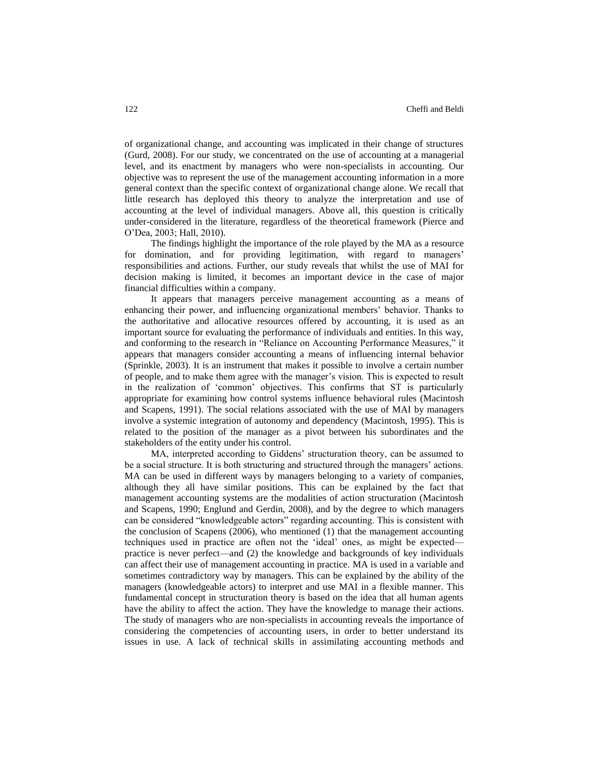of organizational change, and accounting was implicated in their change of structures (Gurd, 2008). For our study, we concentrated on the use of accounting at a managerial level, and its enactment by managers who were non-specialists in accounting. Our objective was to represent the use of the management accounting information in a more general context than the specific context of organizational change alone. We recall that little research has deployed this theory to analyze the interpretation and use of accounting at the level of individual managers. Above all, this question is critically under-considered in the literature, regardless of the theoretical framework (Pierce and O'Dea, 2003; Hall, 2010).

The findings highlight the importance of the role played by the MA as a resource for domination, and for providing legitimation, with regard to managers' responsibilities and actions. Further, our study reveals that whilst the use of MAI for decision making is limited, it becomes an important device in the case of major financial difficulties within a company.

It appears that managers perceive management accounting as a means of enhancing their power, and influencing organizational members' behavior. Thanks to the authoritative and allocative resources offered by accounting, it is used as an important source for evaluating the performance of individuals and entities. In this way, and conforming to the research in "Reliance on Accounting Performance Measures," it appears that managers consider accounting a means of influencing internal behavior (Sprinkle, 2003). It is an instrument that makes it possible to involve a certain number of people, and to make them agree with the manager's vision. This is expected to result in the realization of 'common' objectives. This confirms that ST is particularly appropriate for examining how control systems influence behavioral rules (Macintosh and Scapens, 1991). The social relations associated with the use of MAI by managers involve a systemic integration of autonomy and dependency (Macintosh, 1995). This is related to the position of the manager as a pivot between his subordinates and the stakeholders of the entity under his control.

MA, interpreted according to Giddens' structuration theory, can be assumed to be a social structure. It is both structuring and structured through the managers' actions. MA can be used in different ways by managers belonging to a variety of companies, although they all have similar positions. This can be explained by the fact that management accounting systems are the modalities of action structuration (Macintosh and Scapens, 1990; Englund and Gerdin, 2008), and by the degree to which managers can be considered "knowledgeable actors" regarding accounting. This is consistent with the conclusion of Scapens (2006), who mentioned (1) that the management accounting techniques used in practice are often not the 'ideal' ones, as might be expected practice is never perfect—and (2) the knowledge and backgrounds of key individuals can affect their use of management accounting in practice. MA is used in a variable and sometimes contradictory way by managers. This can be explained by the ability of the managers (knowledgeable actors) to interpret and use MAI in a flexible manner. This fundamental concept in structuration theory is based on the idea that all human agents have the ability to affect the action. They have the knowledge to manage their actions. The study of managers who are non-specialists in accounting reveals the importance of considering the competencies of accounting users, in order to better understand its issues in use. A lack of technical skills in assimilating accounting methods and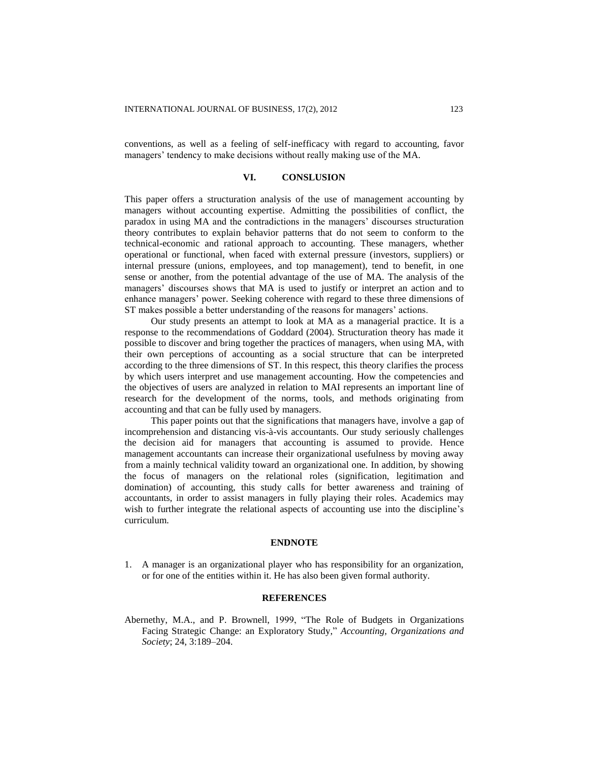conventions, as well as a feeling of self-inefficacy with regard to accounting, favor managers' tendency to make decisions without really making use of the MA.

### **VI. CONSLUSION**

This paper offers a structuration analysis of the use of management accounting by managers without accounting expertise. Admitting the possibilities of conflict, the paradox in using MA and the contradictions in the managers' discourses structuration theory contributes to explain behavior patterns that do not seem to conform to the technical-economic and rational approach to accounting. These managers, whether operational or functional, when faced with external pressure (investors, suppliers) or internal pressure (unions, employees, and top management), tend to benefit, in one sense or another, from the potential advantage of the use of MA. The analysis of the managers' discourses shows that MA is used to justify or interpret an action and to enhance managers' power. Seeking coherence with regard to these three dimensions of ST makes possible a better understanding of the reasons for managers' actions.

Our study presents an attempt to look at MA as a managerial practice. It is a response to the recommendations of Goddard (2004). Structuration theory has made it possible to discover and bring together the practices of managers, when using MA, with their own perceptions of accounting as a social structure that can be interpreted according to the three dimensions of ST. In this respect, this theory clarifies the process by which users interpret and use management accounting. How the competencies and the objectives of users are analyzed in relation to MAI represents an important line of research for the development of the norms, tools, and methods originating from accounting and that can be fully used by managers.

This paper points out that the significations that managers have, involve a gap of incomprehension and distancing vis-à-vis accountants. Our study seriously challenges the decision aid for managers that accounting is assumed to provide. Hence management accountants can increase their organizational usefulness by moving away from a mainly technical validity toward an organizational one. In addition, by showing the focus of managers on the relational roles (signification, legitimation and domination) of accounting, this study calls for better awareness and training of accountants, in order to assist managers in fully playing their roles. Academics may wish to further integrate the relational aspects of accounting use into the discipline's curriculum.

## **ENDNOTE**

1. A manager is an organizational player who has responsibility for an organization, or for one of the entities within it. He has also been given formal authority.

# **REFERENCES**

Abernethy, M.A., and P. Brownell, 1999, "The Role of Budgets in Organizations Facing Strategic Change: an Exploratory Study," *Accounting, Organizations and Society*; 24, 3:189–204.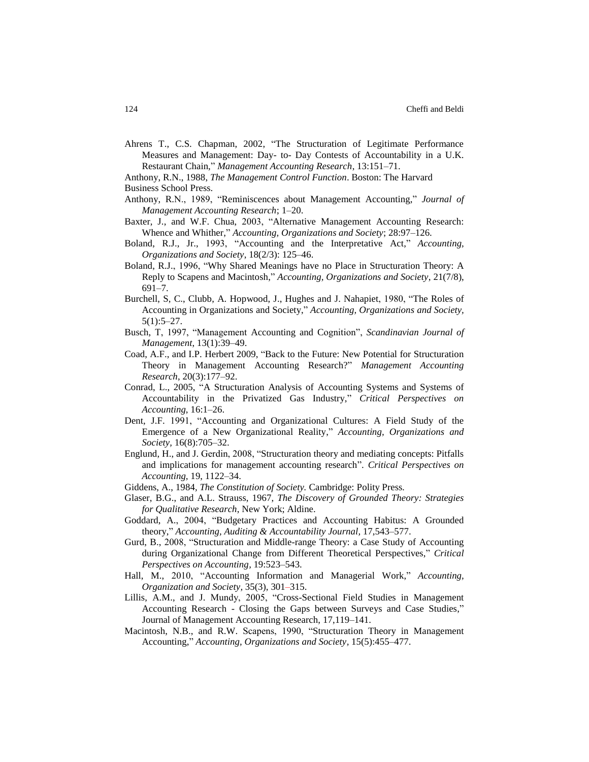- Ahrens T., C.S. Chapman, 2002, "The Structuration of Legitimate Performance Measures and Management: Day- to- Day Contests of Accountability in a U.K. Restaurant Chain," *Management Accounting Research*, 13:151–71.
- Anthony, R.N., 1988, *The Management Control Function*. Boston: The Harvard
- Business School Press.
- Anthony, R.N., 1989, "Reminiscences about Management Accounting," *Journal of Management Accounting Research*; 1–20.
- Baxter, J., and W.F. Chua, 2003, "Alternative Management Accounting Research: Whence and Whither," *Accounting, Organizations and Society*; 28:97–126.
- Boland, R.J., Jr., 1993, "Accounting and the Interpretative Act," *Accounting, Organizations and Society*, 18(2/3): 125–46.
- Boland, R.J., 1996, "Why Shared Meanings have no Place in Structuration Theory: A Reply to Scapens and Macintosh," *Accounting, Organizations and Society*, 21(7/8), 691–7.
- Burchell, S, C., Clubb, A. Hopwood, J., Hughes and J. Nahapiet, 1980, "The Roles of Accounting in Organizations and Society," *Accounting, Organizations and Society,*  5(1):5–27.
- Busch, T, 1997, "Management Accounting and Cognition", *Scandinavian Journal of Management*, 13(1):39–49.
- Coad, A.F., and I.P. Herbert 2009, "Back to the Future: New Potential for Structuration Theory in Management Accounting Research?" *Management Accounting Research*, 20(3):177–92.
- Conrad, L., 2005, "A Structuration Analysis of Accounting Systems and Systems of Accountability in the Privatized Gas Industry," *Critical Perspectives on Accounting*, 16:1–26.
- Dent, J.F. 1991, "Accounting and Organizational Cultures: A Field Study of the Emergence of a New Organizational Reality," *Accounting, Organizations and Society,* 16(8):705–32.
- Englund, H., and J. Gerdin, 2008, "Structuration theory and mediating concepts: Pitfalls and implications for management accounting research". *Critical Perspectives on Accounting,* 19, 1122–34.
- Giddens, A., 1984*, The Constitution of Society.* Cambridge: Polity Press*.*
- Glaser, B.G., and A.L. Strauss, 1967, *The Discovery of Grounded Theory: Strategies for Qualitative Research*, New York; Aldine.
- Goddard, A., 2004, "Budgetary Practices and Accounting Habitus: A Grounded theory," *Accounting, Auditing & Accountability Journal,* 17,543–577.
- Gurd, B., 2008, "Structuration and Middle-range Theory: a Case Study of Accounting during Organizational Change from Different Theoretical Perspectives," *Critical Perspectives on Accounting,* 19:523–543.
- Hall, M., 2010, "Accounting Information and Managerial Work," *Accounting, Organization and Society,* 35(3), 301–315.
- Lillis, A.M., and J. Mundy, 2005, "Cross-Sectional Field Studies in Management Accounting Research - Closing the Gaps between Surveys and Case Studies," Journal of Management Accounting Research, 17,119–141.
- Macintosh, N.B., and R.W. Scapens, 1990, "Structuration Theory in Management Accounting," *Accounting, Organizations and Society,* 15(5):455–477.